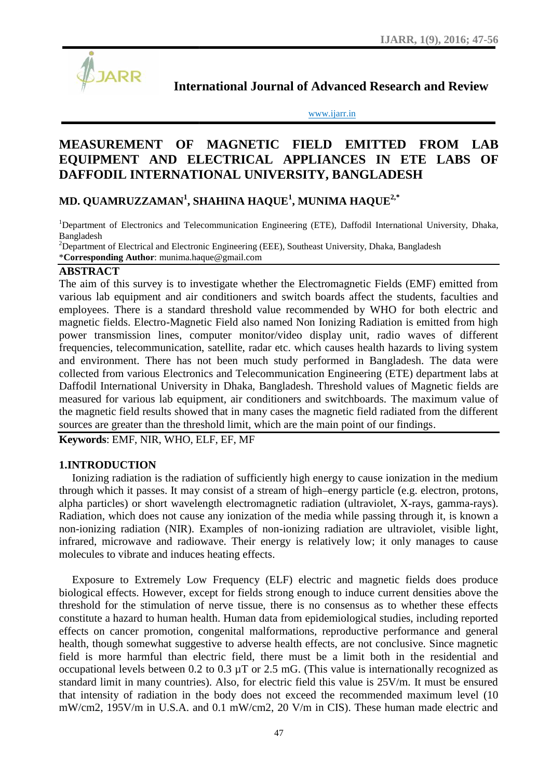

**International Journal of Advanced Research and Review**

www.ijarr.in www.ijarr.in

# MEASUREMENT OF MAGNETIC FIELD EMITTED FROM LAB **EQUIPMENT AND ELECTRICAL APPLIANCES IN ETE LABS OF DAFFODIL INTERNATIONAL UNIVERSITY, BANGLADESH DAFFODIL INTERNATIONAL**

## **MD. QUAMRUZZAMAN<sup>1</sup> , SHAHINA HAQUE<sup>1</sup> , MUNIMA HAQUE2,\* QUAMRUZZAMAN<sup>1</sup>**

<sup>1</sup>Department of Electronics and Telecommunication Engineering (ETE), Daffodil International University, Dhaka,<br>Bangladesh Bangladesh

 $2D$ Pepartment of Electrical and Electronic Engineering (EEE), Southeast University, Dhaka, Bangladesh \***Corresponding Author**: munima.haque@gmail.com

#### **ABSTRACT**

The aim of this survey is to investigate whether the Electromagnetic Fields (EMF) emitted from The aim various lab equipment and air conditioners and switch boards affect the students, faculties and employees. There is a standard threshold value recommended by WHO for both electric and magnetic fields. Electro-Magnetic Field also named Non Ionizing Radiation is emitted from high power transmission lines, computer monitor/video display unit, radio waves of different frequencies, telecommunication, satellite, radar etc. which causes health hazards to living system and environment. There has not been much study performed in Bangladesh. The data were collected from various Electronics and Telecommunication Engineering (ETE) department labs at Daffodil International University in Dhaka, Bangladesh. Threshold values of Magnetic fields are measured for various lab equipment, air conditioners and switchboards. The maximum value of the magnetic field results showed that in many cases the magnetic field radiated from the different sources are greater than the threshold limit, which are the main point of our findings. s. There is a standard threshold value recommended by WHO for both electric and<br>fields. Electro-Magnetic Field also named Non Ionizing Radiation is emitted from high<br>ansmission lines, computer monitor/video display unit, r collected from various Electronics and Telecommunication Engineering (ETE) department labs at<br>Daffodil International University in Dhaka, Bangladesh. Threshold values of Magnetic fields are<br>measured for various lab equipme

**Keywords**: EMF, NIR, WHO, ELF, EF, MF

## **1.INTRODUCTION**

Ionizing radiation is the radiation of sufficiently high energy to cause ionization in the medium through which it passes. It may consist of a stream of high–energy particle (e.g. electron, protons, alpha particles) or short wavelength electromagnetic radiation (ultraviolet, X-rays, gamma-rays). Radiation, which does not cause any ionization of the media while passing through it, is known a non-ionizing radiation (NIR). Examples of non-ionizing radiation are ultraviolet, visible light, infrared, microwave and radiowave. Their energy is relatively low; it only manages to cause molecules to vibrate and induces heating effects.

Exposure to Extremely Low Frequency (ELF) electric and magnetic fields does produce biological effects. However, except for fields strong enough to induce current densities above the threshold for the stimulation of nerve tissue, there is no consensus as to whether these effects constitute a hazard to human health. Human data from epidemiological studies, including reported effects on cancer promotion, congenital malformations, reproductive performance and general health, though somewhat suggestive to adverse health effects, are not conclusive. Since magnetic field is more harmful than electric field, there must be a limit both in the residential and occupational levels between  $0.2$  to  $0.3 \mu T$  or  $2.5 \text{ mG}$ . (This value is internationally recognized as standard limit in many countries). Also, for electric field this value is 25V/m. It must be ensured standard limit in many countries). Also, for electric field this value is 25V/m. It must be ensured that intensity of radiation in the body does not exceed the recommended maximum level (10 mW/cm2, 195V/m in U.S.A. and 0.1 mW/cm2, 20 V/m in CIS). These human made electric and mon-ionizing radiation (NIR). Examples of non-ionizing radiation are ultraviolet, visible light,<br>infrared, microwave and radiowave. Their energy is relatively low; it only manages to cause<br>molecules to vibrate and induces constitute a hazard to human health. Human data from epidemiological studies, including reported<br>effects on cancer promotion, congenital malformations, reproductive performance and general<br>health, though somewhat suggestiv Radiation, which does not cause any ionization of the m<br>non-ionizing radiation (NIR). Examples of non-ionizin<br>infrared, microwave and radiowave. Their energy is re<br>molecules to vibrate and induces heating effects.<br>Exposur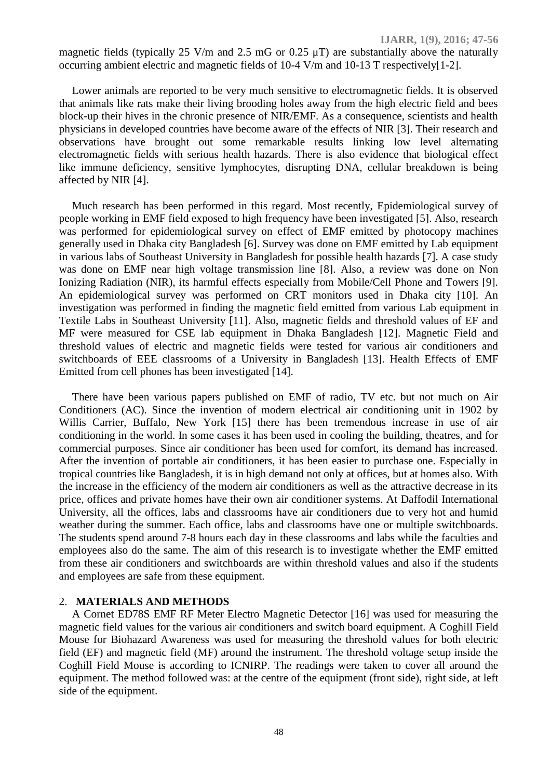**IJARR, 1(9), 2016; 47-56**

magnetic fields (typically 25 V/m and 2.5 mG or 0.25  $\mu$ T) are substantially above the naturally occurring ambient electric and magnetic fields of 10-4 V/m and 10-13 T respectively[1-2].

Lower animals are reported to be very much sensitive to electromagnetic fields. It is observed that animals like rats make their living brooding holes away from the high electric field and bees block-up their hives in the chronic presence of NIR/EMF. As a consequence, scientists and health physicians in developed countries have become aware of the effects of NIR [3]. Their research and observations have brought out some remarkable results linking low level alternating electromagnetic fields with serious health hazards. There is also evidence that biological effect like immune deficiency, sensitive lymphocytes, disrupting DNA, cellular breakdown is being affected by NIR [4].

Much research has been performed in this regard. Most recently, Epidemiological survey of people working in EMF field exposed to high frequency have been investigated [5]. Also, research was performed for epidemiological survey on effect of EMF emitted by photocopy machines generally used in Dhaka city Bangladesh [6]. Survey was done on EMF emitted by Lab equipment in various labs of Southeast University in Bangladesh for possible health hazards [7]. A case study was done on EMF near high voltage transmission line [8]. Also, a review was done on Non Ionizing Radiation (NIR), its harmful effects especially from Mobile/Cell Phone and Towers [9]. An epidemiological survey was performed on CRT monitors used in Dhaka city [10]. An investigation was performed in finding the magnetic field emitted from various Lab equipment in Textile Labs in Southeast University [11]. Also, magnetic fields and threshold values of EF and MF were measured for CSE lab equipment in Dhaka Bangladesh [12]. Magnetic Field and threshold values of electric and magnetic fields were tested for various air conditioners and switchboards of EEE classrooms of a University in Bangladesh [13]. Health Effects of EMF Emitted from cell phones has been investigated [14].

There have been various papers published on EMF of radio, TV etc. but not much on Air Conditioners (AC). Since the invention of modern electrical air conditioning unit in 1902 by Willis Carrier, Buffalo, New York [15] there has been tremendous increase in use of air conditioning in the world. In some cases it has been used in cooling the building, theatres, and for commercial purposes. Since air conditioner has been used for comfort, its demand has increased. After the invention of portable air conditioners, it has been easier to purchase one. Especially in tropical countries like Bangladesh, it is in high demand not only at offices, but at homes also. With the increase in the efficiency of the modern air conditioners as well as the attractive decrease in its price, offices and private homes have their own air conditioner systems. At Daffodil International University, all the offices, labs and classrooms have air conditioners due to very hot and humid weather during the summer. Each office, labs and classrooms have one or multiple switchboards. The students spend around 7-8 hours each day in these classrooms and labs while the faculties and employees also do the same. The aim of this research is to investigate whether the EMF emitted from these air conditioners and switchboards are within threshold values and also if the students and employees are safe from these equipment.

#### 2. **MATERIALS AND METHODS**

A Cornet ED78S EMF RF Meter Electro Magnetic Detector [16] was used for measuring the magnetic field values for the various air conditioners and switch board equipment. A Coghill Field Mouse for Biohazard Awareness was used for measuring the threshold values for both electric field (EF) and magnetic field (MF) around the instrument. The threshold voltage setup inside the Coghill Field Mouse is according to ICNIRP. The readings were taken to cover all around the equipment. The method followed was: at the centre of the equipment (front side), right side, at left side of the equipment.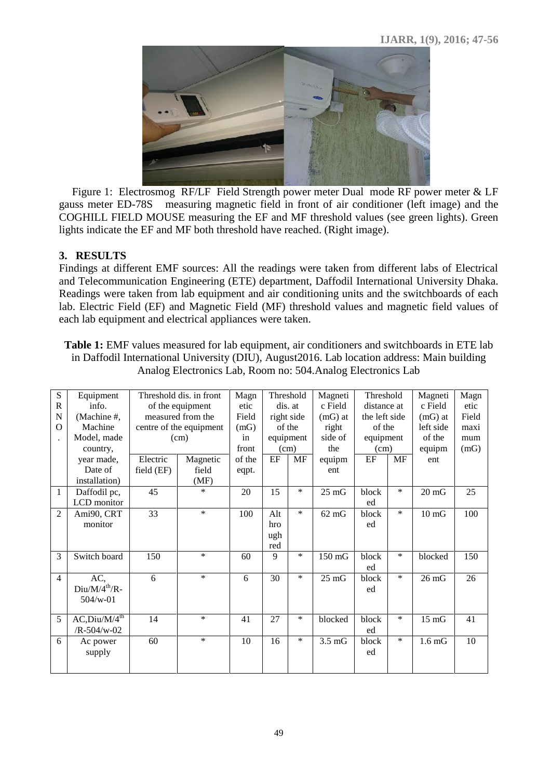

Figure 1: Electrosmog RF/LF Field Strength power meter Dual mode RF power meter & LF gauss meter ED-78S measuring magnetic field in front of air conditioner (left image) and the COGHILL FIELD MOUSE measuring the EF and MF threshold values (see green lights). Green lights indicate the EF and MF both threshold have reached. (Right image).

## **3. RESULTS**

Findings at different EMF sources: All the readings were taken from different labs of Electrical and Telecommunication Engineering (ETE) department, Daffodil International University Dhaka. Readings were taken from lab equipment and air conditioning units and the switchboards of each lab. Electric Field (EF) and Magnetic Field (MF) threshold values and magnetic field values of each lab equipment and electrical appliances were taken.

**Table 1:** EMF values measured for lab equipment, air conditioners and switchboards in ETE lab in Daffodil International University (DIU), August2016. Lab location address: Main building Analog Electronics Lab, Room no: 504.Analog Electronics Lab

| S              | Equipment                 |            | Threshold dis. in front<br>of the equipment<br>measured from the |        |            | Threshold | Magneti          | Threshold     |           | Magneti           | Magn  |
|----------------|---------------------------|------------|------------------------------------------------------------------|--------|------------|-----------|------------------|---------------|-----------|-------------------|-------|
| R              | info.                     |            |                                                                  |        |            | dis. at   | c Field          | distance at   |           | c Field           | etic  |
| $\mathbf N$    | (Machine #,               |            |                                                                  |        | right side |           | $(mG)$ at        | the left side |           | $(mG)$ at         | Field |
| $\Omega$       | Machine                   |            | centre of the equipment                                          | (mG)   | of the     |           | right            | of the        |           | left side         | maxi  |
|                | Model, made               |            | (cm)                                                             | in     |            | equipment | side of          | equipment     |           | of the            | mum   |
|                | country,                  |            |                                                                  | front  | (cm)       |           | the              | (cm)          |           | equipm            | (mG)  |
|                | year made,                | Electric   | Magnetic                                                         | of the | EF         | MF        | equipm           | $\rm EF$      | <b>MF</b> | ent               |       |
|                | Date of                   | field (EF) | field                                                            | eqpt.  |            |           | ent              |               |           |                   |       |
|                | installation)             |            | (MF)                                                             |        |            |           |                  |               |           |                   |       |
| $\mathbf{1}$   | Daffodil pc,              | 45         | $\ast$                                                           | 20     | 15         | $\ast$    | $25 \text{ mG}$  | block         | $\ast$    | $20 \text{ mG}$   | 25    |
|                | LCD monitor               |            |                                                                  |        |            |           |                  | ed            |           |                   |       |
| $\overline{2}$ | Ami90, CRT                | 33         | $\ast$                                                           | 100    | Alt        | $\ast$    | $62 \text{ mG}$  | block         | $\ast$    | $10 \text{ mG}$   | 100   |
|                | monitor                   |            |                                                                  |        | hro        |           |                  | ed            |           |                   |       |
|                |                           |            |                                                                  |        | ugh        |           |                  |               |           |                   |       |
|                |                           |            |                                                                  |        | red        |           |                  |               |           |                   |       |
| 3              | Switch board              | 150        | $\ast$                                                           | 60     | 9          | $\ast$    | $150 \text{ mG}$ | block         | $\ast$    | blocked           | 150   |
|                |                           |            |                                                                  |        |            |           |                  | ed            |           |                   |       |
| $\overline{4}$ | AC,                       | 6          | $\ast$                                                           | 6      | 30         | $\ast$    | $25 \text{ mG}$  | block         | $\ast$    | $26 \text{ mG}$   | 26    |
|                | $Div/M/4^{th}/R$ -        |            |                                                                  |        |            |           |                  | ed            |           |                   |       |
|                | $504/w-01$                |            |                                                                  |        |            |           |                  |               |           |                   |       |
|                |                           |            |                                                                  |        |            |           |                  |               |           |                   |       |
| 5              | AC, Diu/M/4 <sup>th</sup> | 14         | $\ast$                                                           | 41     | 27         | $\ast$    | blocked          | block         | $\ast$    | $15 \text{ mG}$   | 41    |
|                | $/R - 504/w - 02$         |            |                                                                  |        |            |           |                  | ed            |           |                   |       |
| 6              | Ac power                  | 60         | $\ast$                                                           | 10     | 16         | $\ast$    | $3.5 \text{ mG}$ | block         | $\ast$    | 1.6 <sub>mG</sub> | 10    |
|                | supply                    |            |                                                                  |        |            |           |                  | ed            |           |                   |       |
|                |                           |            |                                                                  |        |            |           |                  |               |           |                   |       |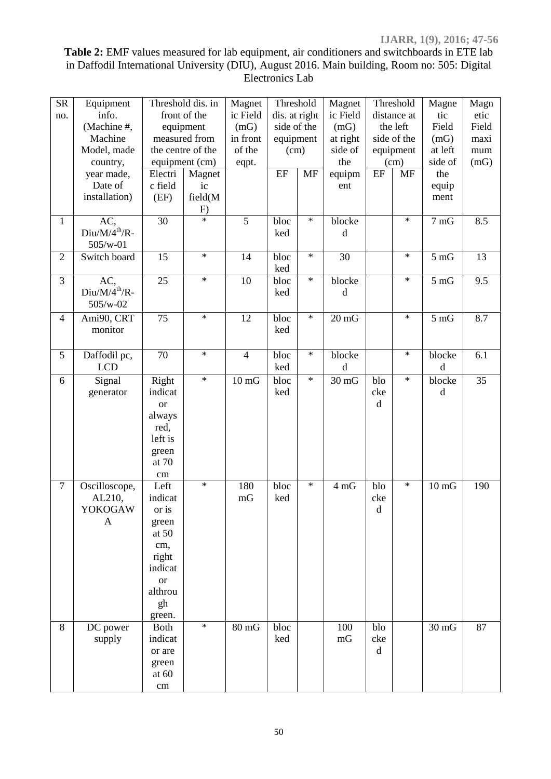**Table 2:** EMF values measured for lab equipment, air conditioners and switchboards in ETE lab in Daffodil International University (DIU), August 2016. Main building, Room no: 505: Digital Electronics Lab

| ${\rm SR}$<br>no. | Equipment<br>info.<br>(Machine #,<br>Machine<br>Model, made<br>country,<br>year made,<br>Date of | Threshold dis. in<br>front of the<br>equipment<br>measured from<br>the centre of the<br>equipment (cm)<br>Electri<br>Magnet<br>c field<br>ic |               | Magnet<br>ic Field<br>(mG)<br>in front<br>of the<br>eqpt. | Threshold<br>dis. at right<br>side of the<br>equipment<br>(cm)<br>EF<br>MF |        | Magnet<br>ic Field<br>(mG)<br>at right<br>side of<br>the<br>equipm<br>ent | Threshold<br>distance at<br>the left<br>side of the<br>equipment<br>(cm)<br>$\rm EF$<br><b>MF</b> |        | Magne<br>tic<br>Field<br>(mG)<br>at left<br>side of<br>the<br>equip | Magn<br>etic<br>Field<br>maxi<br>mum<br>(mG) |
|-------------------|--------------------------------------------------------------------------------------------------|----------------------------------------------------------------------------------------------------------------------------------------------|---------------|-----------------------------------------------------------|----------------------------------------------------------------------------|--------|---------------------------------------------------------------------------|---------------------------------------------------------------------------------------------------|--------|---------------------------------------------------------------------|----------------------------------------------|
|                   | installation)                                                                                    | (EF)                                                                                                                                         | field(M<br>F) |                                                           |                                                                            |        |                                                                           |                                                                                                   |        | ment                                                                |                                              |
| $\mathbf{1}$      | AC,<br>$Diu/M/4^{th}/R$ -<br>505/w-01                                                            | 30                                                                                                                                           | $\star$       | 5                                                         | bloc<br>ked                                                                | $\ast$ | blocke<br>d                                                               |                                                                                                   | $\ast$ | 7 <sub>mG</sub>                                                     | 8.5                                          |
| $\overline{2}$    | Switch board                                                                                     | 15                                                                                                                                           | $\star$       | 14                                                        | bloc<br>ked                                                                | $\ast$ | 30                                                                        |                                                                                                   | $\ast$ | $5 \text{ mG}$                                                      | 13                                           |
| 3                 | AC,<br>$Diu/M/4^{th}/R$ -<br>$505/w-02$                                                          | 25                                                                                                                                           | $\ast$        | 10                                                        | bloc<br>ked                                                                | $\ast$ | blocke<br>d                                                               |                                                                                                   | $\ast$ | $5 \text{ mG}$                                                      | 9.5                                          |
| $\overline{4}$    | Ami90, CRT<br>monitor                                                                            | 75                                                                                                                                           | $\ast$        | 12                                                        | bloc<br>ked                                                                | $\ast$ | $20 \text{ mG}$                                                           |                                                                                                   | $\ast$ | $5 \text{ mG}$                                                      | 8.7                                          |
| 5                 | Daffodil pc,<br><b>LCD</b>                                                                       | 70                                                                                                                                           | $\star$       | $\overline{4}$                                            | bloc<br>ked                                                                | $\ast$ | blocke<br>$\mathbf d$                                                     |                                                                                                   | $\ast$ | blocke<br>$\mathbf d$                                               | 6.1                                          |
| 6                 | Signal<br>generator                                                                              | Right<br>indicat<br><sub>or</sub><br>always<br>red,<br>left is<br>green<br>at 70<br>$\,\rm cm$                                               | $\ast$        | $10 \text{ mG}$                                           | bloc<br>ked                                                                | $\ast$ | $30 \text{ mG}$                                                           | blo<br>cke<br>$\mathbf d$                                                                         | $\ast$ | blocke<br>$\mathbf d$                                               | 35                                           |
| $\tau$            | Oscilloscope,<br>AL210,<br><b>YOKOGAW</b><br>A                                                   | Left<br>indicat<br>or is<br>green<br>at $50$<br>cm,<br>right<br>indicat<br><b>or</b><br>althrou<br>gh<br>green.                              | $\ast$        | 180<br>mG                                                 | bloc<br>ked                                                                | $\ast$ | 4 mG                                                                      | blo<br>cke<br>$\rm d$                                                                             | $\ast$ | $10 \text{ mG}$                                                     | 190                                          |
| $\, 8$            | DC power<br>supply                                                                               | <b>Both</b><br>indicat<br>or are<br>green<br>at $60$<br>$\,\rm cm$                                                                           | $\ast$        | $80 \text{ mG}$                                           | bloc<br>ked                                                                |        | 100<br>mG                                                                 | blo<br>cke<br>$\rm d$                                                                             |        | $30 \text{ mG}$                                                     | 87                                           |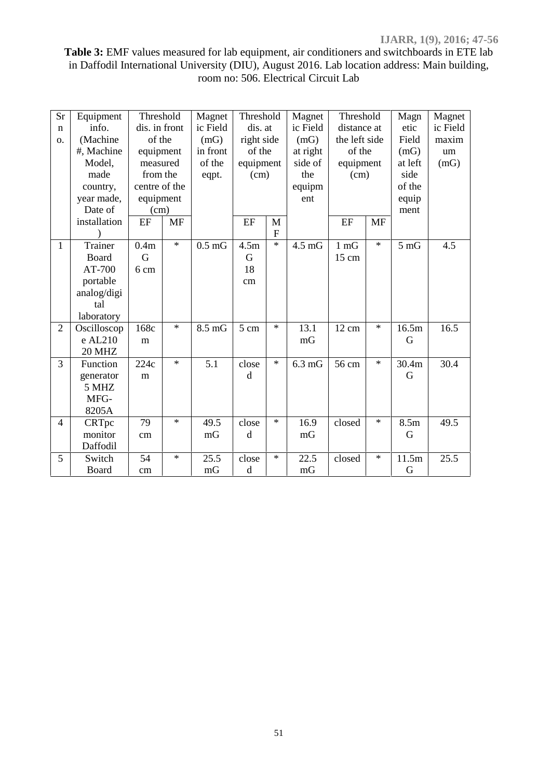## **Table 3:** EMF values measured for lab equipment, air conditioners and switchboards in ETE lab in Daffodil International University (DIU), August 2016. Lab location address: Main building, room no: 506. Electrical Circuit Lab

| <b>Sr</b><br>$\mathbf n$<br>О. | Equipment<br>info.<br>(Machine<br>#, Machine<br>Model,<br>made<br>country,<br>year made, | Threshold<br>dis. in front<br>of the<br>equipment<br>measured<br>from the<br>centre of the<br>equipment |           | Magnet<br>ic Field<br>(mG)<br>in front<br>of the<br>eqpt. | Threshold<br>dis. at<br>right side<br>of the<br>equipment<br>(cm) |              | Magnet<br>ic Field<br>(mG)<br>at right<br>side of<br>the<br>equipm<br>ent | Threshold<br>distance at<br>the left side<br>of the<br>equipment<br>(cm) |           | Magn<br>etic<br>Field<br>(mG)<br>at left<br>side<br>of the<br>equip | Magnet<br>ic Field<br>maxim<br>um<br>(mG) |
|--------------------------------|------------------------------------------------------------------------------------------|---------------------------------------------------------------------------------------------------------|-----------|-----------------------------------------------------------|-------------------------------------------------------------------|--------------|---------------------------------------------------------------------------|--------------------------------------------------------------------------|-----------|---------------------------------------------------------------------|-------------------------------------------|
|                                | Date of<br>installation                                                                  | (cm)<br>EF                                                                                              | <b>MF</b> |                                                           | EF                                                                | M            |                                                                           | EF                                                                       | <b>MF</b> | ment                                                                |                                           |
|                                |                                                                                          |                                                                                                         |           |                                                           |                                                                   | $\mathbf{F}$ |                                                                           |                                                                          |           |                                                                     |                                           |
| 1                              | Trainer<br>Board<br>AT-700<br>portable<br>analog/digi<br>tal<br>laboratory               | 0.4m<br>G<br>6 cm                                                                                       | $\star$   | $0.5 \text{ mG}$                                          | 4.5m<br>G<br>18<br>cm                                             | $\ast$       | $4.5 \text{ mG}$                                                          | $1 \text{ mG}$<br>15 cm                                                  | $\ast$    | $5 \text{ mG}$                                                      | 4.5                                       |
| $\overline{2}$                 | Oscilloscop<br>e AL210<br><b>20 MHZ</b>                                                  | 168c<br>m                                                                                               | $\ast$    | $8.5 \text{ mG}$                                          | 5 cm                                                              | $\ast$       | 13.1<br>mG                                                                | 12 cm                                                                    | $\ast$    | 16.5m<br>G                                                          | 16.5                                      |
| 3                              | Function<br>generator<br>5 MHZ<br>MFG-<br>8205A                                          | 224c<br>m                                                                                               | $\ast$    | 5.1                                                       | close<br>d                                                        | $\ast$       | $6.3 \text{ mG}$                                                          | 56 cm                                                                    | $\star$   | 30.4m<br>G                                                          | 30.4                                      |
| 4                              | CRTpc<br>monitor<br>Daffodil                                                             | 79<br>cm                                                                                                | $\ast$    | 49.5<br>mG                                                | close<br>d                                                        | $\ast$       | 16.9<br>mG                                                                | closed                                                                   | $\ast$    | 8.5m<br>G                                                           | 49.5                                      |
| 5                              | Switch<br>Board                                                                          | 54<br>cm                                                                                                | $\ast$    | 25.5<br>mG                                                | close<br>$\mathbf d$                                              | $\ast$       | 22.5<br>mG                                                                | closed                                                                   | $\ast$    | 11.5m<br>G                                                          | 25.5                                      |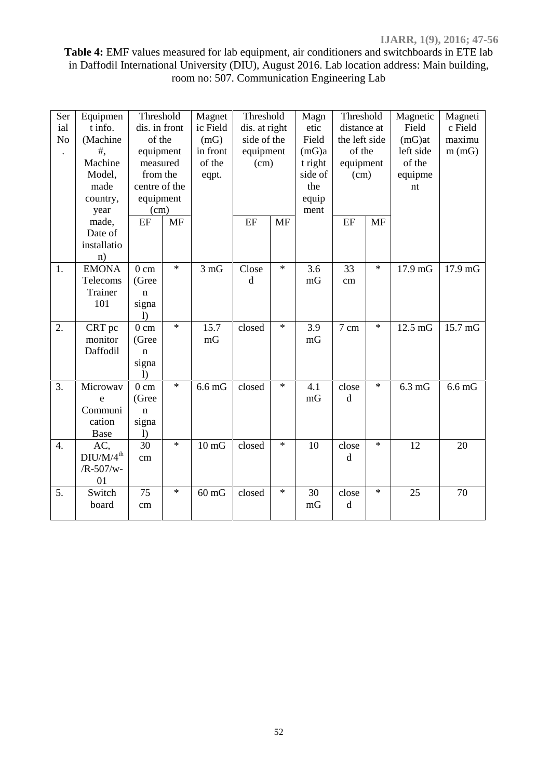## **Table 4:** EMF values measured for lab equipment, air conditioners and switchboards in ETE lab in Daffodil International University (DIU), August 2016. Lab location address: Main building, room no: 507. Communication Engineering Lab

| Ser<br>ial<br>N <sub>o</sub><br>$\ddot{\phantom{0}}$ | Equipmen<br>t info.<br>(Machine<br>$#$ ,<br>Machine  | Threshold<br>dis. in front<br>of the<br>equipment<br>measured        |           | Magnet<br>ic Field<br>(mG)<br>in front<br>of the | Threshold<br>dis. at right<br>side of the<br>equipment<br>(cm) |           | Magn<br>etic<br>Field<br>(mG)a<br>t right | Threshold<br>distance at<br>the left side<br>of the<br>equipment |           | Magnetic<br>Field<br>$(mG)$ at<br>left side<br>of the | Magneti<br>c Field<br>maximu<br>m(mG) |  |
|------------------------------------------------------|------------------------------------------------------|----------------------------------------------------------------------|-----------|--------------------------------------------------|----------------------------------------------------------------|-----------|-------------------------------------------|------------------------------------------------------------------|-----------|-------------------------------------------------------|---------------------------------------|--|
|                                                      | Model,<br>made<br>country,<br>year                   | from the<br>centre of the<br>equipment<br>(cm)                       |           | eqpt.                                            |                                                                |           | side of<br>the<br>equip<br>ment           | (cm)                                                             |           | equipme<br>nt                                         |                                       |  |
|                                                      | made,<br>Date of<br>installatio<br>n)                | $\rm EF$                                                             | <b>MF</b> |                                                  | EF                                                             | <b>MF</b> |                                           | EF                                                               | <b>MF</b> |                                                       |                                       |  |
| 1.                                                   | <b>EMONA</b><br>Telecoms<br>Trainer<br>101           | 0 <sub>cm</sub><br>(Gree<br>$\mathbf n$<br>signa<br>$\left( \right)$ | $\ast$    | $3 \text{ mG}$                                   | Close<br>$\rm d$                                               | $\ast$    | 3.6<br>mG                                 | 33<br>cm                                                         | $\ast$    | 17.9 mG                                               | 17.9 mG                               |  |
| 2.                                                   | CRT pc<br>monitor<br>Daffodil                        | 0 <sub>cm</sub><br>(Gree<br>$\mathbf n$<br>signa<br>$\left( \right)$ | $\ast$    | 15.7<br>mG                                       | closed                                                         | $\ast$    | 3.9<br>mG                                 | 7 cm                                                             | $\ast$    | $12.5 \text{ mG}$                                     | 15.7 mG                               |  |
| 3.                                                   | Microwav<br>e<br>Communi<br>cation<br>Base           | $0 \text{ cm}$<br>(Gree<br>$\mathbf n$<br>signa<br>$\left( \right)$  | $\ast$    | $6.6 \text{ mG}$                                 | closed                                                         | $\ast$    | 4.1<br>mG                                 | close<br>$\mathbf d$                                             | $\ast$    | $6.3 \text{ mG}$                                      | $6.6 \text{ mG}$                      |  |
| 4.                                                   | AC,<br>DIU/M/4 <sup>th</sup><br>$/R - 507/w -$<br>01 | 30<br>cm                                                             | $\ast$    | $10 \text{ mG}$                                  | closed                                                         | $\ast$    | 10                                        | close<br>d                                                       | $\ast$    | 12                                                    | 20                                    |  |
| 5.                                                   | Switch<br>board                                      | 75<br>cm                                                             | $\ast$    | $60 \text{ mG}$                                  | closed                                                         | $\ast$    | 30<br>mG                                  | close<br>d                                                       | $\ast$    | 25                                                    | 70                                    |  |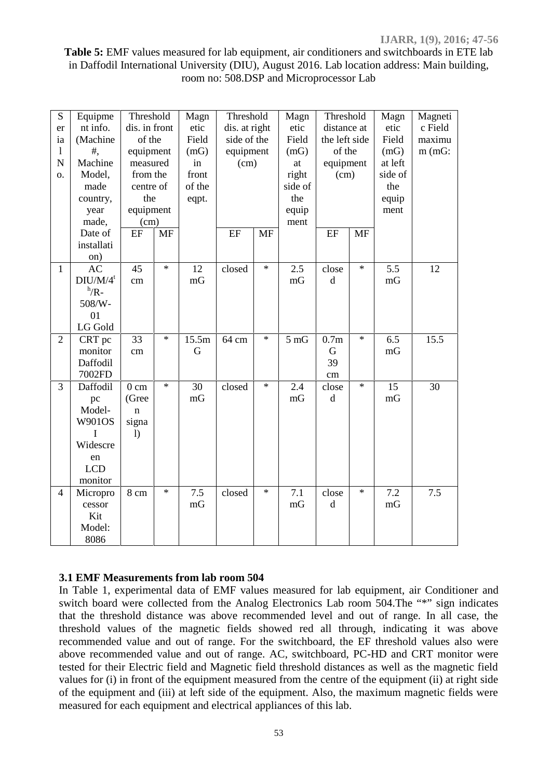#### **Table 5:** EMF values measured for lab equipment, air conditioners and switchboards in ETE lab in Daffodil International University (DIU), August 2016. Lab location address: Main building, room no: 508.DSP and Microprocessor Lab

| S<br>er<br>ia<br>$\mathbf{1}$<br>N<br>0. | Equipme<br>nt info.<br>(Machine<br>$#$ ,<br>Machine<br>Model,<br>made<br>country,<br>year<br>made, | Threshold<br>dis. in front<br>of the<br>equipment<br>measured<br>from the<br>centre of<br>the<br>equipment<br>(cm) |           | Magn<br>etic<br>Field<br>(mG)<br>in<br>front<br>of the<br>eqpt. |        | Threshold<br>dis. at right<br>side of the<br>equipment<br>(cm) |                | Threshold<br>distance at<br>the left side<br>of the<br>equipment<br>(cm) |           | Magn<br>etic<br>Field<br>(mG)<br>at left<br>side of<br>the<br>equip<br>ment | Magneti<br>c Field<br>maximu<br>$m$ (mG: |
|------------------------------------------|----------------------------------------------------------------------------------------------------|--------------------------------------------------------------------------------------------------------------------|-----------|-----------------------------------------------------------------|--------|----------------------------------------------------------------|----------------|--------------------------------------------------------------------------|-----------|-----------------------------------------------------------------------------|------------------------------------------|
|                                          | Date of<br>installati<br>on)                                                                       | EF                                                                                                                 | <b>MF</b> |                                                                 | EF     | <b>MF</b>                                                      |                | EF                                                                       | <b>MF</b> |                                                                             |                                          |
| $\mathbf{1}$                             | <b>AC</b><br>$DIU/M/4^t$<br>$h/R -$<br>508/W-<br>01<br>LG Gold                                     | 45<br>cm                                                                                                           | $\star$   | 12<br>mG                                                        | closed | $\ast$                                                         | 2.5<br>mG      | close<br>$\rm d$                                                         | $\star$   | 5.5<br>mG                                                                   | 12                                       |
| $\overline{2}$                           | CRT pc<br>monitor<br>Daffodil<br>7002FD                                                            | 33<br>cm                                                                                                           | $\star$   | 15.5m<br>G                                                      | 64 cm  | $\ast$                                                         | $5 \text{ mG}$ | 0.7 <sub>m</sub><br>G<br>39<br>$\,\rm cm$                                | $\ast$    | 6.5<br>mG                                                                   | 15.5                                     |
| 3                                        | Daffodil<br>pc<br>Model-<br><b>W901OS</b><br>I<br>Widescre<br>en<br><b>LCD</b><br>monitor          | 0 <sub>cm</sub><br>(Gree<br>$\mathbf n$<br>signa<br>1)                                                             | $\star$   | 30<br>mG                                                        | closed | $\star$                                                        | 2.4<br>mG      | close<br>$\rm d$                                                         | $\star$   | 15<br>mG                                                                    | 30                                       |
| $\overline{4}$                           | Micropro<br>cessor<br>Kit<br>Model:<br>8086                                                        | 8 cm                                                                                                               | $\ast$    | 7.5<br>mG                                                       | closed | $\star$                                                        | 7.1<br>mG      | close<br>$\rm d$                                                         | $\ast$    | 7.2<br>mG                                                                   | 7.5                                      |

#### **3.1 EMF Measurements from lab room 504**

In Table 1, experimental data of EMF values measured for lab equipment, air Conditioner and switch board were collected from the Analog Electronics Lab room 504. The "\*" sign indicates that the threshold distance was above recommended level and out of range. In all case, the threshold values of the magnetic fields showed red all through, indicating it was above recommended value and out of range. For the switchboard, the EF threshold values also were above recommended value and out of range. AC, switchboard, PC-HD and CRT monitor were tested for their Electric field and Magnetic field threshold distances as well as the magnetic field values for (i) in front of the equipment measured from the centre of the equipment (ii) at right side of the equipment and (iii) at left side of the equipment. Also, the maximum magnetic fields were measured for each equipment and electrical appliances of this lab.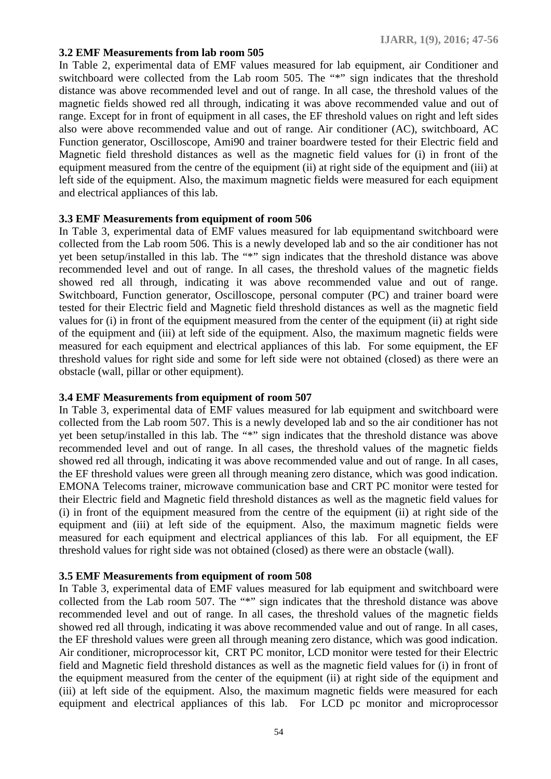#### **3.2 EMF Measurements from lab room 505**

In Table 2, experimental data of EMF values measured for lab equipment, air Conditioner and switchboard were collected from the Lab room 505. The "\*" sign indicates that the threshold distance was above recommended level and out of range. In all case, the threshold values of the magnetic fields showed red all through, indicating it was above recommended value and out of range. Except for in front of equipment in all cases, the EF threshold values on right and left sides also were above recommended value and out of range. Air conditioner (AC), switchboard, AC Function generator, Oscilloscope, Ami90 and trainer boardwere tested for their Electric field and Magnetic field threshold distances as well as the magnetic field values for (i) in front of the equipment measured from the centre of the equipment (ii) at right side of the equipment and (iii) at left side of the equipment. Also, the maximum magnetic fields were measured for each equipment and electrical appliances of this lab.

#### **3.3 EMF Measurements from equipment of room 506**

In Table 3, experimental data of EMF values measured for lab equipmentand switchboard were collected from the Lab room 506. This is a newly developed lab and so the air conditioner has not yet been setup/installed in this lab. The "\*" sign indicates that the threshold distance was above recommended level and out of range. In all cases, the threshold values of the magnetic fields showed red all through, indicating it was above recommended value and out of range. Switchboard, Function generator, Oscilloscope, personal computer (PC) and trainer board were tested for their Electric field and Magnetic field threshold distances as well as the magnetic field values for (i) in front of the equipment measured from the center of the equipment (ii) at right side of the equipment and (iii) at left side of the equipment. Also, the maximum magnetic fields were measured for each equipment and electrical appliances of this lab. For some equipment, the EF threshold values for right side and some for left side were not obtained (closed) as there were an obstacle (wall, pillar or other equipment).

#### **3.4 EMF Measurements from equipment of room 507**

In Table 3, experimental data of EMF values measured for lab equipment and switchboard were collected from the Lab room 507. This is a newly developed lab and so the air conditioner has not yet been setup/installed in this lab. The "\*" sign indicates that the threshold distance was above recommended level and out of range. In all cases, the threshold values of the magnetic fields showed red all through, indicating it was above recommended value and out of range. In all cases, the EF threshold values were green all through meaning zero distance, which was good indication. EMONA Telecoms trainer, microwave communication base and CRT PC monitor were tested for their Electric field and Magnetic field threshold distances as well as the magnetic field values for (i) in front of the equipment measured from the centre of the equipment (ii) at right side of the equipment and (iii) at left side of the equipment. Also, the maximum magnetic fields were measured for each equipment and electrical appliances of this lab. For all equipment, the EF threshold values for right side was not obtained (closed) as there were an obstacle (wall).

#### **3.5 EMF Measurements from equipment of room 508**

In Table 3, experimental data of EMF values measured for lab equipment and switchboard were collected from the Lab room 507. The "\*" sign indicates that the threshold distance was above recommended level and out of range. In all cases, the threshold values of the magnetic fields showed red all through, indicating it was above recommended value and out of range. In all cases, the EF threshold values were green all through meaning zero distance, which was good indication. Air conditioner, microprocessor kit, CRT PC monitor, LCD monitor were tested for their Electric field and Magnetic field threshold distances as well as the magnetic field values for (i) in front of the equipment measured from the center of the equipment (ii) at right side of the equipment and (iii) at left side of the equipment. Also, the maximum magnetic fields were measured for each equipment and electrical appliances of this lab. For LCD pc monitor and microprocessor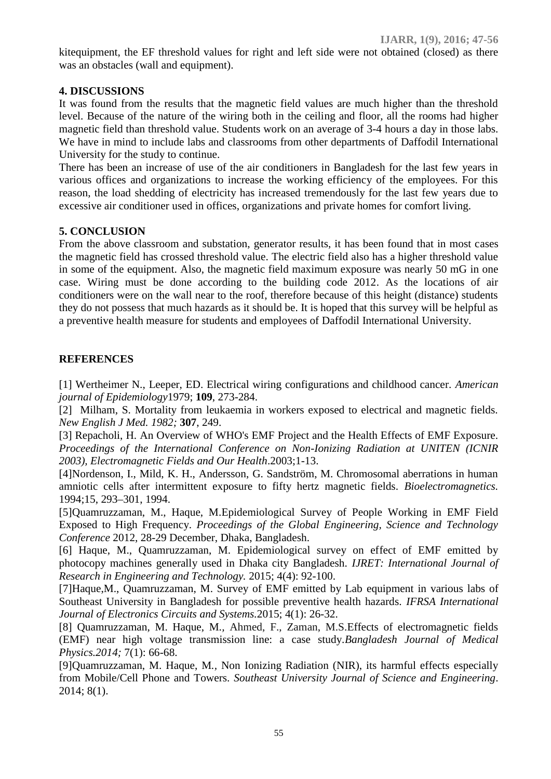kitequipment, the EF threshold values for right and left side were not obtained (closed) as there was an obstacles (wall and equipment).

### **4. DISCUSSIONS**

It was found from the results that the magnetic field values are much higher than the threshold level. Because of the nature of the wiring both in the ceiling and floor, all the rooms had higher magnetic field than threshold value. Students work on an average of 3-4 hours a day in those labs. We have in mind to include labs and classrooms from other departments of Daffodil International University for the study to continue.

There has been an increase of use of the air conditioners in Bangladesh for the last few years in various offices and organizations to increase the working efficiency of the employees. For this reason, the load shedding of electricity has increased tremendously for the last few years due to excessive air conditioner used in offices, organizations and private homes for comfort living.

#### **5. CONCLUSION**

From the above classroom and substation, generator results, it has been found that in most cases the magnetic field has crossed threshold value. The electric field also has a higher threshold value in some of the equipment. Also, the magnetic field maximum exposure was nearly 50 mG in one case. Wiring must be done according to the building code 2012. As the locations of air conditioners were on the wall near to the roof, therefore because of this height (distance) students they do not possess that much hazards as it should be. It is hoped that this survey will be helpful as a preventive health measure for students and employees of Daffodil International University.

#### **REFERENCES**

[1] Wertheimer N., Leeper, ED. Electrical wiring configurations and childhood cancer. *American journal of Epidemiology*1979; **109**, 273-284.

[2] Milham, S. Mortality from leukaemia in workers exposed to electrical and magnetic fields. *New English J Med. 1982;* **307**, 249.

[3] Repacholi, H. An Overview of WHO's EMF Project and the Health Effects of EMF Exposure. *Proceedings of the International Conference on Non-Ionizing Radiation at UNITEN (ICNIR 2003), Electromagnetic Fields and Our Health*.2003;1-13.

[4]Nordenson, I., Mild, K. H., Andersson, G. Sandström, M. Chromosomal aberrations in human amniotic cells after intermittent exposure to fifty hertz magnetic fields. *Bioelectromagnetics.* 1994;15, 293–301, 1994.

[5]Quamruzzaman, M., Haque, M.Epidemiological Survey of People Working in EMF Field Exposed to High Frequency. *Proceedings of the Global Engineering, Science and Technology Conference* 2012, 28-29 December, Dhaka, Bangladesh.

[6] Haque, M., Quamruzzaman, M. Epidemiological survey on effect of EMF emitted by photocopy machines generally used in Dhaka city Bangladesh. *IJRET: International Journal of Research in Engineering and Technology.* 2015; 4(4): 92-100.

[7]Haque,M., Quamruzzaman, M. Survey of EMF emitted by Lab equipment in various labs of Southeast University in Bangladesh for possible preventive health hazards. *IFRSA International Journal of Electronics Circuits and Systems.*2015; 4(1): 26-32.

[8] Quamruzzaman, M. Haque, M*.,* Ahmed, F., Zaman, M.S.Effects of electromagnetic fields (EMF) near high voltage transmission line: a case study.*Bangladesh Journal of Medical Physics.2014;* 7(1): 66-68.

[9]Quamruzzaman, M. Haque, M*.,* Non Ionizing Radiation (NIR), its harmful effects especially from Mobile/Cell Phone and Towers. *Southeast University Journal of Science and Engineering*. 2014; 8(1).